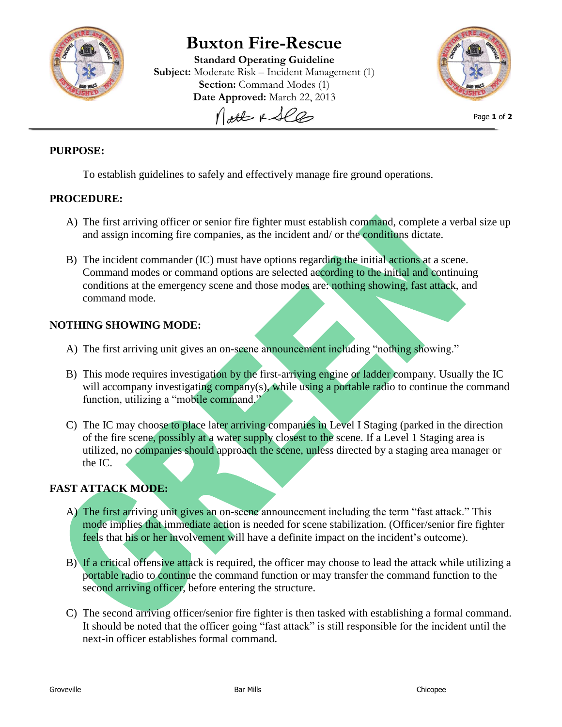

# **Buxton Fire-Rescue**

**Standard Operating Guideline Subject:** Moderate Risk – Incident Management (1) **Section:** Command Modes (1) **Date Approved:** March 22, 2013 Molt & See



Page **1** of **2**

### **PURPOSE:**

To establish guidelines to safely and effectively manage fire ground operations.

#### **PROCEDURE:**

- A) The first arriving officer or senior fire fighter must establish command, complete a verbal size up and assign incoming fire companies, as the incident and/ or the conditions dictate.
- B) The incident commander (IC) must have options regarding the initial actions at a scene. Command modes or command options are selected according to the initial and continuing conditions at the emergency scene and those modes are: nothing showing, fast attack, and command mode.

### **NOTHING SHOWING MODE:**

- A) The first arriving unit gives an on-scene announcement including "nothing showing."
- B) This mode requires investigation by the first-arriving engine or ladder company. Usually the IC will accompany investigating company(s), while using a portable radio to continue the command function, utilizing a "mobile command."
- C) The IC may choose to place later arriving companies in Level I Staging (parked in the direction of the fire scene, possibly at a water supply closest to the scene. If a Level 1 Staging area is utilized, no companies should approach the scene, unless directed by a staging area manager or the IC.

## **FAST ATTACK MODE:**

- A) The first arriving unit gives an on-scene announcement including the term "fast attack." This mode implies that immediate action is needed for scene stabilization. (Officer/senior fire fighter feels that his or her involvement will have a definite impact on the incident's outcome).
- B) If a critical offensive attack is required, the officer may choose to lead the attack while utilizing a portable radio to continue the command function or may transfer the command function to the second arriving officer, before entering the structure.
- C) The second arriving officer/senior fire fighter is then tasked with establishing a formal command. It should be noted that the officer going "fast attack" is still responsible for the incident until the next-in officer establishes formal command.